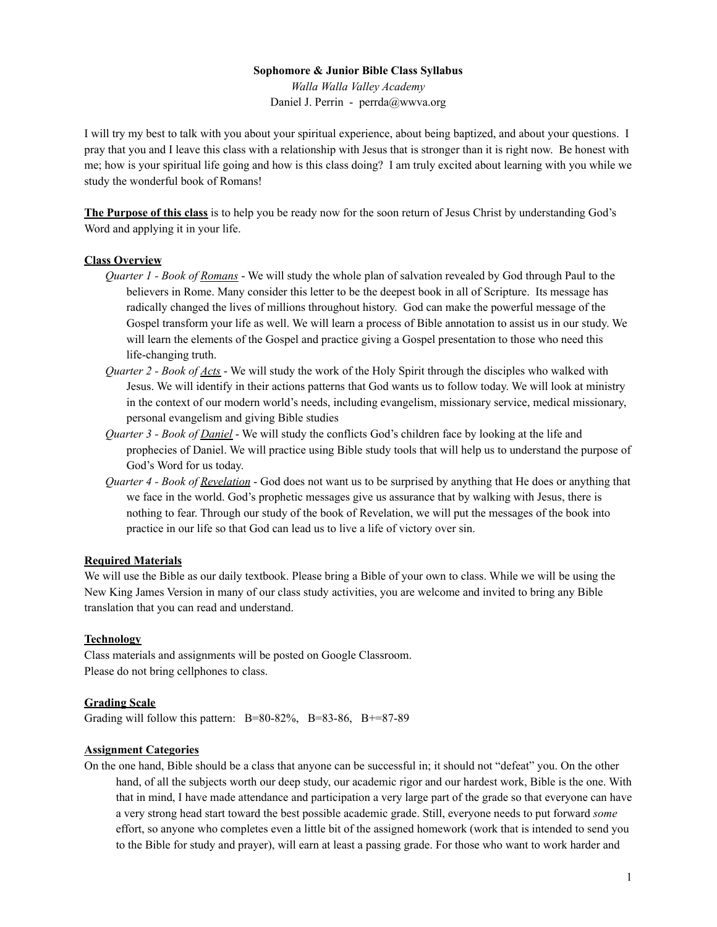### **Sophomore & Junior Bible Class Syllabus**

*Walla Walla Valley Academy* Daniel J. Perrin - perrda@wwva.org

I will try my best to talk with you about your spiritual experience, about being baptized, and about your questions. I pray that you and I leave this class with a relationship with Jesus that is stronger than it is right now. Be honest with me; how is your spiritual life going and how is this class doing? I am truly excited about learning with you while we study the wonderful book of Romans!

**The Purpose of this class** is to help you be ready now for the soon return of Jesus Christ by understanding God's Word and applying it in your life.

# **Class Overview**

- *Quarter 1 - Book of Romans* We will study the whole plan of salvation revealed by God through Paul to the believers in Rome. Many consider this letter to be the deepest book in all of Scripture. Its message has radically changed the lives of millions throughout history. God can make the powerful message of the Gospel transform your life as well. We will learn a process of Bible annotation to assist us in our study. We will learn the elements of the Gospel and practice giving a Gospel presentation to those who need this life-changing truth.
- *Quarter 2 - Book of Acts* We will study the work of the Holy Spirit through the disciples who walked with Jesus. We will identify in their actions patterns that God wants us to follow today. We will look at ministry in the context of our modern world's needs, including evangelism, missionary service, medical missionary, personal evangelism and giving Bible studies
- *Quarter 3 - Book of Daniel* We will study the conflicts God's children face by looking at the life and prophecies of Daniel. We will practice using Bible study tools that will help us to understand the purpose of God's Word for us today.
- *Quarter 4 - Book of Revelation* God does not want us to be surprised by anything that He does or anything that we face in the world. God's prophetic messages give us assurance that by walking with Jesus, there is nothing to fear. Through our study of the book of Revelation, we will put the messages of the book into practice in our life so that God can lead us to live a life of victory over sin.

### **Required Materials**

We will use the Bible as our daily textbook. Please bring a Bible of your own to class. While we will be using the New King James Version in many of our class study activities, you are welcome and invited to bring any Bible translation that you can read and understand.

#### **Technology**

Class materials and assignments will be posted on Google Classroom. Please do not bring cellphones to class.

### **Grading Scale**

Grading will follow this pattern:  $B=80-82\%$ ,  $B=83-86$ ,  $B+=87-89$ 

### **Assignment Categories**

On the one hand, Bible should be a class that anyone can be successful in; it should not "defeat" you. On the other hand, of all the subjects worth our deep study, our academic rigor and our hardest work, Bible is the one. With that in mind, I have made attendance and participation a very large part of the grade so that everyone can have a very strong head start toward the best possible academic grade. Still, everyone needs to put forward *some* effort, so anyone who completes even a little bit of the assigned homework (work that is intended to send you to the Bible for study and prayer), will earn at least a passing grade. For those who want to work harder and